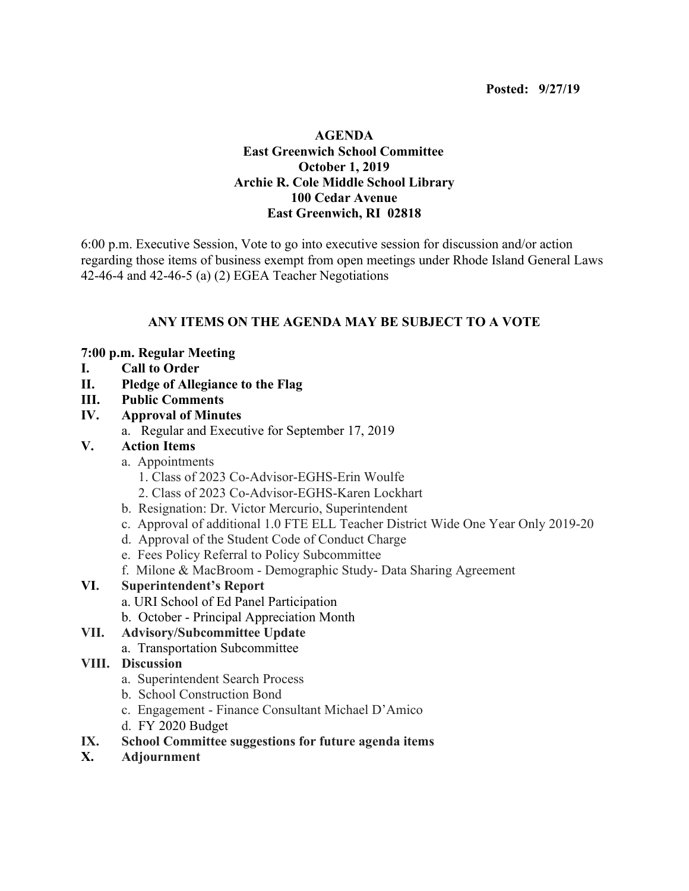## **AGENDA East Greenwich School Committee October 1, 2019 Archie R. Cole Middle School Library 100 Cedar Avenue East Greenwich, RI 02818**

6:00 p.m. Executive Session, Vote to go into executive session for discussion and/or action regarding those items of business exempt from open meetings under Rhode Island General Laws 42-46-4 and 42-46-5 (a) (2) EGEA Teacher Negotiations

# **ANY ITEMS ON THE AGENDA MAY BE SUBJECT TO A VOTE**

#### **7:00 p.m. Regular Meeting**

- **I. Call to Order**
- **II. Pledge of Allegiance to the Flag**
- **III. Public Comments**
- **IV. Approval of Minutes**
	- a. Regular and Executive for September 17, 2019

## **V. Action Items**

- a. Appointments
	- 1. Class of 2023 Co-Advisor-EGHS-Erin Woulfe
	- 2. Class of 2023 Co-Advisor-EGHS-Karen Lockhart
- b. Resignation: Dr. Victor Mercurio, Superintendent
- c. Approval of additional 1.0 FTE ELL Teacher District Wide One Year Only 2019-20
- d. Approval of the Student Code of Conduct Charge
- e. Fees Policy Referral to Policy Subcommittee
- f. Milone & MacBroom Demographic Study- Data Sharing Agreement

## **VI. Superintendent's Report**

- a. URI School of Ed Panel Participation
- b. October Principal Appreciation Month

## **VII. Advisory/Subcommittee Update**

#### a. Transportation Subcommittee

#### **VIII. Discussion**

- a. Superintendent Search Process
- b. School Construction Bond
- c. Engagement Finance Consultant Michael D'Amico
- d. FY 2020 Budget
- **IX. School Committee suggestions for future agenda items**
- **X. Adjournment**